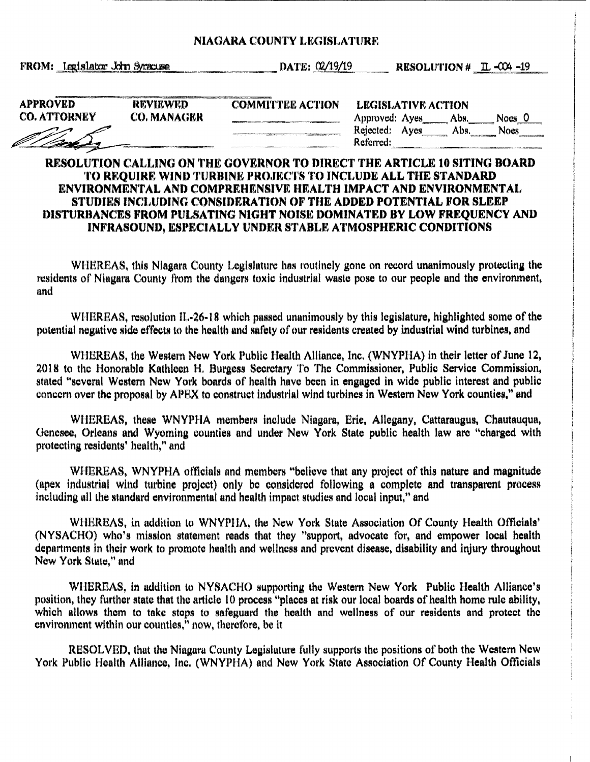## **NIAGARA COUNTY LEGISLATURE**

FROM: Legislator John Syracuse

\_\_\_\_\_ **.--.-~DATE:** ~~9/19 **RESOLUTION#** n, .w+ -19

| <b>APPROVED</b>     |
|---------------------|
| <b>CO. ATTORNEY</b> |
|                     |
|                     |

**REVIEWED CO.MANAGER**  **COMMITTEE ACTION** 

| LEGISLATIVE ACTION |  |      |        |  |
|--------------------|--|------|--------|--|
| Approved: Ayes     |  | Abs. | Noes 0 |  |
| Rejected: Ayes     |  | Abs. | Noes   |  |
| Referred:          |  |      |        |  |
|                    |  |      |        |  |

## **RESOLUTION CALLING ON THE GOVERNOR TO DIRECT THE ARTICLE 10 SITING BOARD TO REQUIRE WIND TURBINE PROJECTS TO INCLUDE ALL THE STANDARD ENVIRONMENT AL AND COMPREHENSIVE HEALTH IMPACT AND ENVIRONMENT AL STUDIES INCLUDING CONSIDERATION OF THE ADDED POTENTIAL FOR SLEEP DISTURBANCES FROM PULSATING NIGHT NOISE DOMINATED BY LOW FREQUENCY AND INFRASOUND, ESPECIALLY UNDER STABLE ATMOSPHERIC CONDITIONS**

WHEREAS, this Niagara County Legislature has routinely gone on record unanimously protecting the residents of Niagara County from the dangers toxic industrial waste pose to our people and the environment. and

WHEREAS, resolution IL-26-18 which passed unanimously by this legislature, highlighted some of the potential negative side effects to the health and safety of our residents created by industrial wind turbines, and

WHEREAS, the Western New York Public Health Alliance, Inc. (WNYPHA) in their letter of June 12, 2018 to the Honorable Kathleen H. Burgess Secretary To The Commissioner, Public Service Commission, stated "several Western New York boards of health have been in engaged in wide public interest and public concern over the proposal by APEX to construct industrial wind turbines in Western New York counties," and

WHEREAS, these WNYPHA members include Niagara, Erie, Allegany, Cattaraugus, Chautauqua, Genesee, Orleans and Wyoming counties and under New York State public health law are "charged with protecting residents' health," and

WHEREAS, WNYPHA officials and members "believe that any project of this nature and magnitude (apex industrial wind turbine project) only be considered following a complete and transparent process including all the standard environmental and health impact studies and local input,° and

WHEREAS, in addition to WNYPHA, the New York State Association Of County Health Officials' (NYSACHO) who's mission statement reads that they "support, advocate for, and empower local health departments in their work to promote health and wellness and prevent disease, disability and injury throughout New York State." and

WHEREAS, in addition to NYSACHO supporting the Western New York Public Health Alliance's position, they further state that the article 10 process "places at risk our local boards of health home rule ability, which allows them to take steps to safeguard the health and wellness of our residents and protect the environment within our counties," now, therefore, be it

RESOLVED, that the Niagara County Legislature fully supports the positions of both the Western New York Public Health Alliance, Inc. (WNYPHA) and New York State Association Of County Health Officials